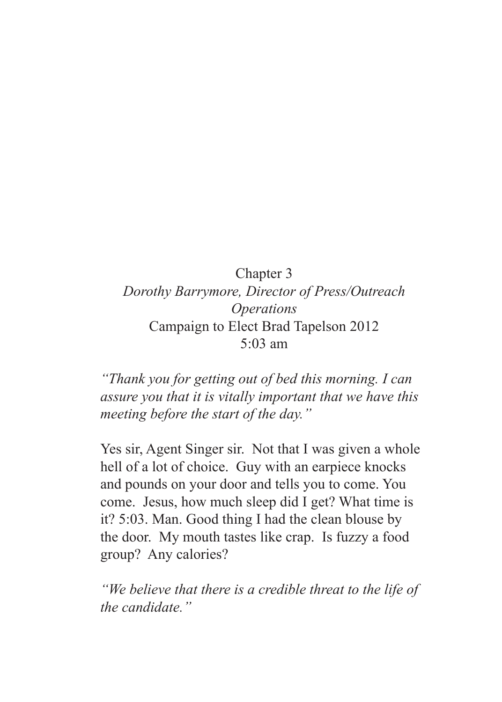## Chapter 3 *Dorothy Barrymore, Director of Press/Outreach Operations* Campaign to Elect Brad Tapelson 2012 5:03 am

*"Thank you for getting out of bed this morning. I can assure you that it is vitally important that we have this meeting before the start of the day."*

Yes sir, Agent Singer sir. Not that I was given a whole hell of a lot of choice. Guy with an earpiece knocks and pounds on your door and tells you to come. You come. Jesus, how much sleep did I get? What time is it? 5:03. Man. Good thing I had the clean blouse by the door. My mouth tastes like crap. Is fuzzy a food group? Any calories?

*"We believe that there is a credible threat to the life of the candidate."*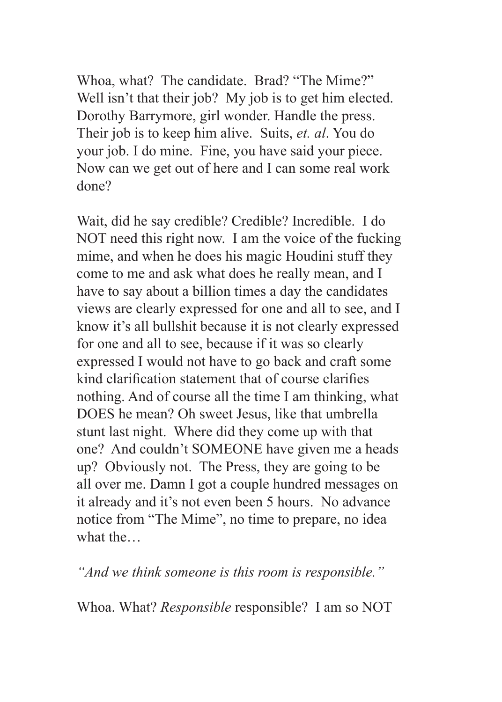Whoa, what? The candidate. Brad? "The Mime?" Well isn't that their job? My job is to get him elected. Dorothy Barrymore, girl wonder. Handle the press. Their job is to keep him alive. Suits, *et. al*. You do your job. I do mine. Fine, you have said your piece. Now can we get out of here and I can some real work done?

Wait, did he say credible? Credible? Incredible. I do NOT need this right now. I am the voice of the fucking mime, and when he does his magic Houdini stuff they come to me and ask what does he really mean, and I have to say about a billion times a day the candidates views are clearly expressed for one and all to see, and I know it's all bullshit because it is not clearly expressed for one and all to see, because if it was so clearly expressed I would not have to go back and craft some kind clarification statement that of course clarifies nothing. And of course all the time I am thinking, what DOES he mean? Oh sweet Jesus, like that umbrella stunt last night. Where did they come up with that one? And couldn't SOMEONE have given me a heads up? Obviously not. The Press, they are going to be all over me. Damn I got a couple hundred messages on it already and it's not even been 5 hours. No advance notice from "The Mime", no time to prepare, no idea what the…

*"And we think someone is this room is responsible."*

Whoa. What? *Responsible* responsible? I am so NOT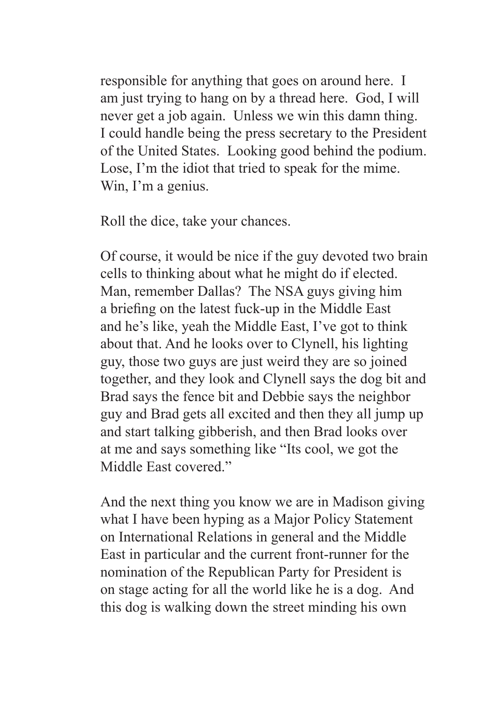responsible for anything that goes on around here. I am just trying to hang on by a thread here. God, I will never get a job again. Unless we win this damn thing. I could handle being the press secretary to the President of the United States. Looking good behind the podium. Lose, I'm the idiot that tried to speak for the mime. Win, I'm a genius.

Roll the dice, take your chances.

Of course, it would be nice if the guy devoted two brain cells to thinking about what he might do if elected. Man, remember Dallas? The NSA guys giving him a briefing on the latest fuck-up in the Middle East and he's like, yeah the Middle East, I've got to think about that. And he looks over to Clynell, his lighting guy, those two guys are just weird they are so joined together, and they look and Clynell says the dog bit and Brad says the fence bit and Debbie says the neighbor guy and Brad gets all excited and then they all jump up and start talking gibberish, and then Brad looks over at me and says something like "Its cool, we got the Middle East covered."

And the next thing you know we are in Madison giving what I have been hyping as a Major Policy Statement on International Relations in general and the Middle East in particular and the current front-runner for the nomination of the Republican Party for President is on stage acting for all the world like he is a dog. And this dog is walking down the street minding his own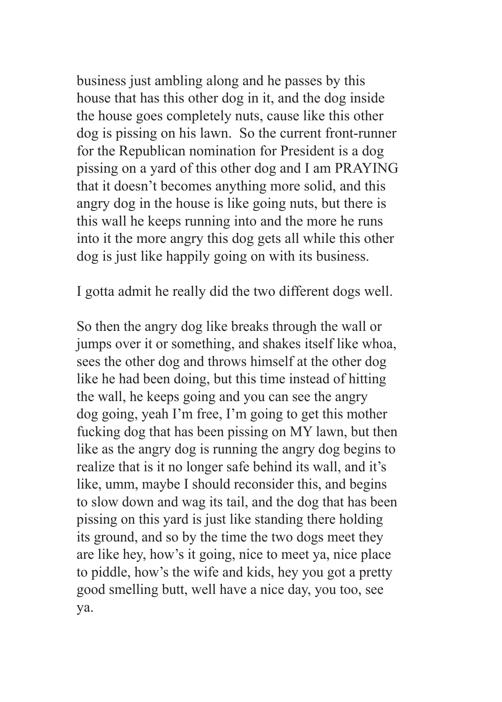business just ambling along and he passes by this house that has this other dog in it, and the dog inside the house goes completely nuts, cause like this other dog is pissing on his lawn. So the current front-runner for the Republican nomination for President is a dog pissing on a yard of this other dog and I am PRAYING that it doesn't becomes anything more solid, and this angry dog in the house is like going nuts, but there is this wall he keeps running into and the more he runs into it the more angry this dog gets all while this other dog is just like happily going on with its business.

I gotta admit he really did the two different dogs well.

So then the angry dog like breaks through the wall or jumps over it or something, and shakes itself like whoa, sees the other dog and throws himself at the other dog like he had been doing, but this time instead of hitting the wall, he keeps going and you can see the angry dog going, yeah I'm free, I'm going to get this mother fucking dog that has been pissing on MY lawn, but then like as the angry dog is running the angry dog begins to realize that is it no longer safe behind its wall, and it's like, umm, maybe I should reconsider this, and begins to slow down and wag its tail, and the dog that has been pissing on this yard is just like standing there holding its ground, and so by the time the two dogs meet they are like hey, how's it going, nice to meet ya, nice place to piddle, how's the wife and kids, hey you got a pretty good smelling butt, well have a nice day, you too, see ya.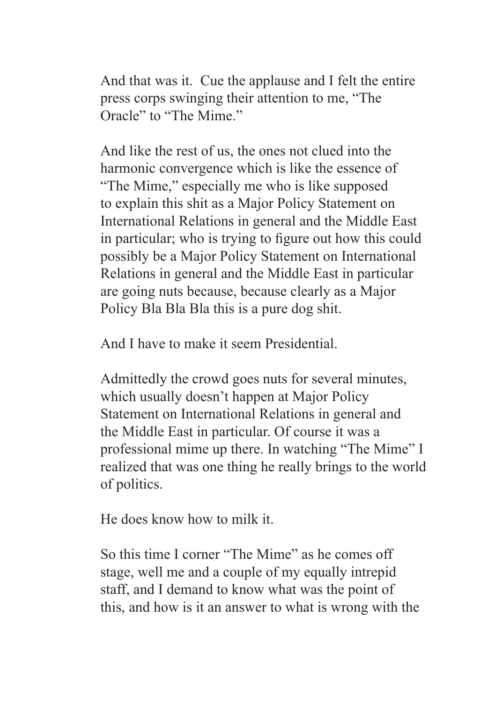And that was it. Cue the applause and I felt the entire press corps swinging their attention to me, "The Oracle" to "The Mime."

And like the rest of us, the ones not clued into the harmonic convergence which is like the essence of "The Mime," especially me who is like supposed to explain this shit as a Major Policy Statement on International Relations in general and the Middle East in particular; who is trying to figure out how this could possibly be a Major Policy Statement on International Relations in general and the Middle East in particular are going nuts because, because clearly as a Major Policy Bla Bla Bla this is a pure dog shit.

And I have to make it seem Presidential.

Admittedly the crowd goes nuts for several minutes, which usually doesn't happen at Major Policy Statement on International Relations in general and the Middle East in particular. Of course it was a professional mime up there. In watching "The Mime" I realized that was one thing he really brings to the world of politics.

He does know how to milk it.

So this time I corner "The Mime" as he comes off stage, well me and a couple of my equally intrepid staff, and I demand to know what was the point of this, and how is it an answer to what is wrong with the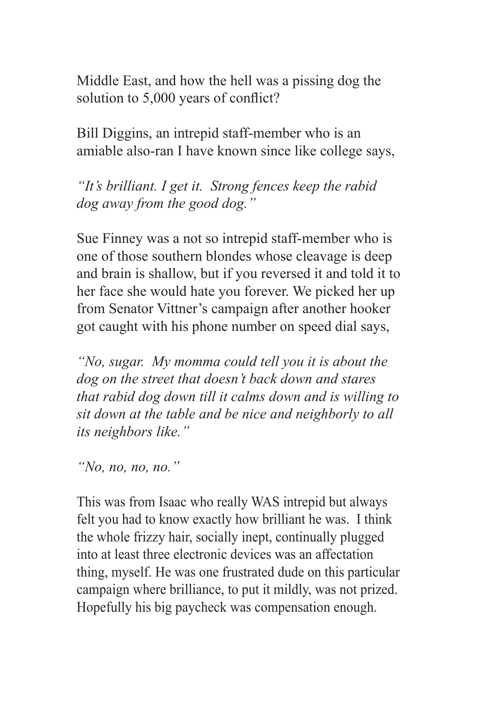Middle East, and how the hell was a pissing dog the solution to 5,000 years of conflict?

Bill Diggins, an intrepid staff-member who is an amiable also-ran I have known since like college says,

*"It's brilliant. I get it. Strong fences keep the rabid dog away from the good dog."*

Sue Finney was a not so intrepid staff-member who is one of those southern blondes whose cleavage is deep and brain is shallow, but if you reversed it and told it to her face she would hate you forever. We picked her up from Senator Vittner's campaign after another hooker got caught with his phone number on speed dial says,

*"No, sugar. My momma could tell you it is about the dog on the street that doesn't back down and stares that rabid dog down till it calms down and is willing to sit down at the table and be nice and neighborly to all its neighbors like."*

*"No, no, no, no."*

This was from Isaac who really WAS intrepid but always felt you had to know exactly how brilliant he was. I think the whole frizzy hair, socially inept, continually plugged into at least three electronic devices was an affectation thing, myself. He was one frustrated dude on this particular campaign where brilliance, to put it mildly, was not prized. Hopefully his big paycheck was compensation enough.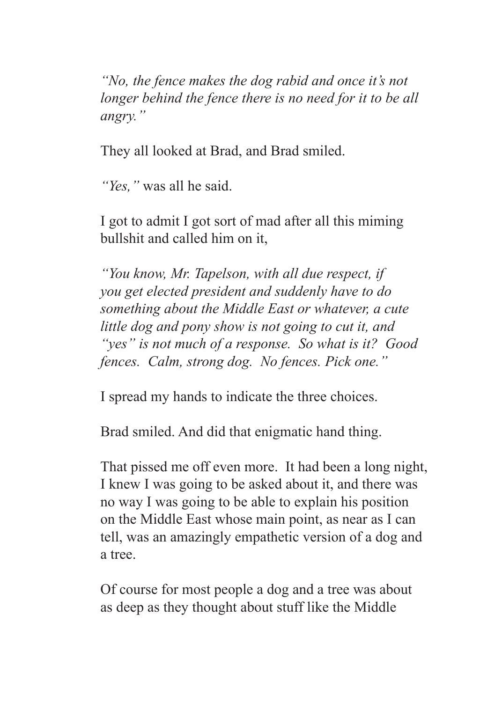*"No, the fence makes the dog rabid and once it's not longer behind the fence there is no need for it to be all angry."*

They all looked at Brad, and Brad smiled.

*"Yes,"* was all he said.

I got to admit I got sort of mad after all this miming bullshit and called him on it,

*"You know, Mr. Tapelson, with all due respect, if you get elected president and suddenly have to do something about the Middle East or whatever, a cute little dog and pony show is not going to cut it, and "yes" is not much of a response. So what is it? Good fences. Calm, strong dog. No fences. Pick one."*

I spread my hands to indicate the three choices.

Brad smiled. And did that enigmatic hand thing.

That pissed me off even more. It had been a long night, I knew I was going to be asked about it, and there was no way I was going to be able to explain his position on the Middle East whose main point, as near as I can tell, was an amazingly empathetic version of a dog and a tree.

Of course for most people a dog and a tree was about as deep as they thought about stuff like the Middle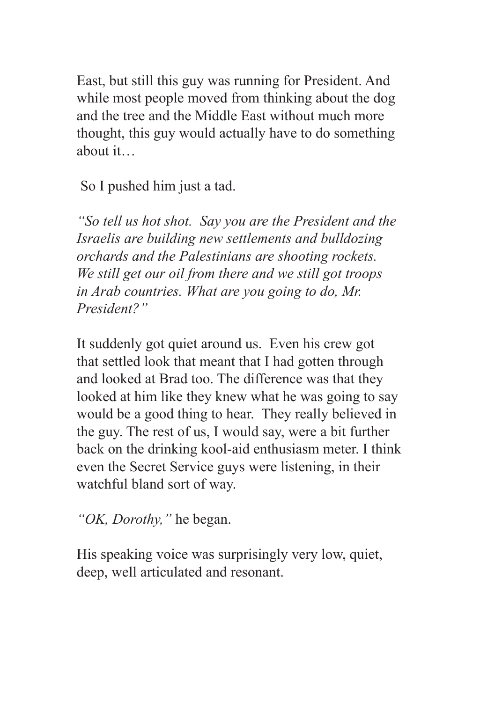East, but still this guy was running for President. And while most people moved from thinking about the dog and the tree and the Middle East without much more thought, this guy would actually have to do something about it…

So I pushed him just a tad.

*"So tell us hot shot. Say you are the President and the Israelis are building new settlements and bulldozing orchards and the Palestinians are shooting rockets. We still get our oil from there and we still got troops in Arab countries. What are you going to do, Mr. President?"*

It suddenly got quiet around us. Even his crew got that settled look that meant that I had gotten through and looked at Brad too. The difference was that they looked at him like they knew what he was going to say would be a good thing to hear. They really believed in the guy. The rest of us, I would say, were a bit further back on the drinking kool-aid enthusiasm meter. I think even the Secret Service guys were listening, in their watchful bland sort of way.

*"OK, Dorothy,"* he began.

His speaking voice was surprisingly very low, quiet, deep, well articulated and resonant.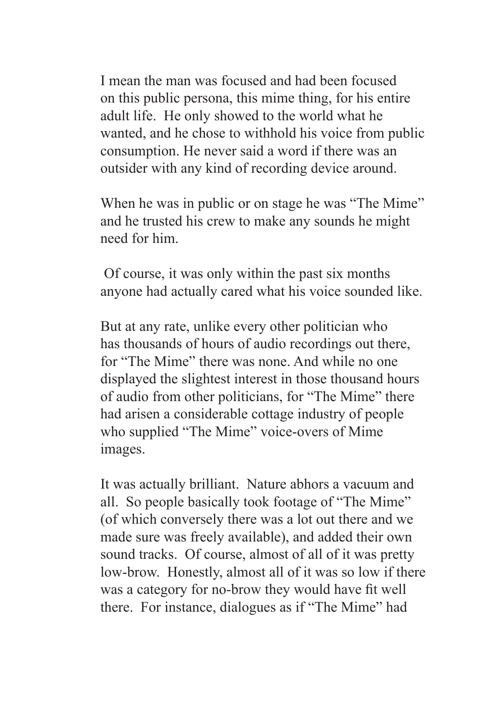I mean the man was focused and had been focused on this public persona, this mime thing, for his entire adult life. He only showed to the world what he wanted, and he chose to withhold his voice from public consumption. He never said a word if there was an outsider with any kind of recording device around.

When he was in public or on stage he was "The Mime" and he trusted his crew to make any sounds he might need for him.

 Of course, it was only within the past six months anyone had actually cared what his voice sounded like.

But at any rate, unlike every other politician who has thousands of hours of audio recordings out there, for "The Mime" there was none. And while no one displayed the slightest interest in those thousand hours of audio from other politicians, for "The Mime" there had arisen a considerable cottage industry of people who supplied "The Mime" voice-overs of Mime images.

It was actually brilliant. Nature abhors a vacuum and all. So people basically took footage of "The Mime" (of which conversely there was a lot out there and we made sure was freely available), and added their own sound tracks. Of course, almost of all of it was pretty low-brow. Honestly, almost all of it was so low if there was a category for no-brow they would have fit well there. For instance, dialogues as if "The Mime" had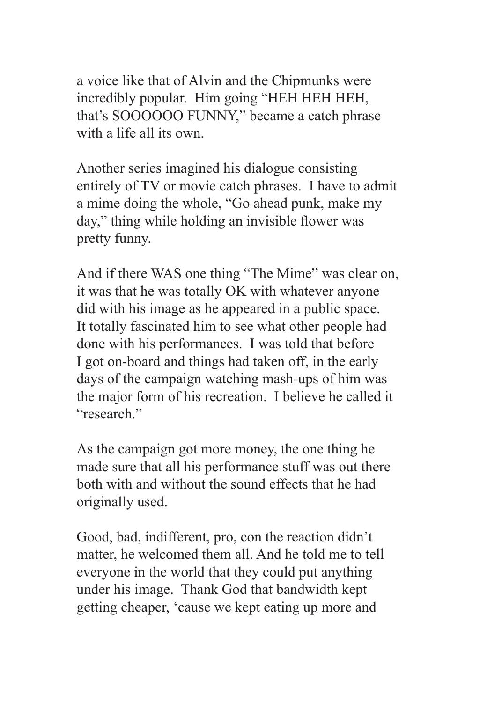a voice like that of Alvin and the Chipmunks were incredibly popular. Him going "HEH HEH HEH, that's SOOOOOO FUNNY," became a catch phrase with a life all its own.

Another series imagined his dialogue consisting entirely of TV or movie catch phrases. I have to admit a mime doing the whole, "Go ahead punk, make my day," thing while holding an invisible flower was pretty funny.

And if there WAS one thing "The Mime" was clear on, it was that he was totally OK with whatever anyone did with his image as he appeared in a public space. It totally fascinated him to see what other people had done with his performances. I was told that before I got on-board and things had taken off, in the early days of the campaign watching mash-ups of him was the major form of his recreation. I believe he called it "research."

As the campaign got more money, the one thing he made sure that all his performance stuff was out there both with and without the sound effects that he had originally used.

Good, bad, indifferent, pro, con the reaction didn't matter, he welcomed them all. And he told me to tell everyone in the world that they could put anything under his image. Thank God that bandwidth kept getting cheaper, 'cause we kept eating up more and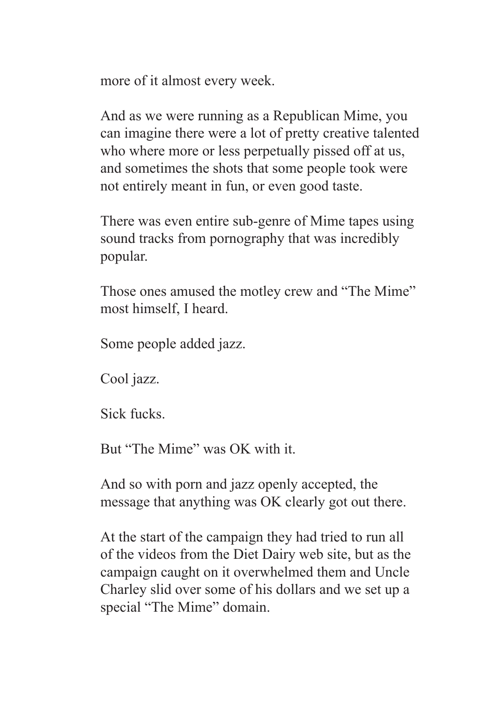more of it almost every week.

And as we were running as a Republican Mime, you can imagine there were a lot of pretty creative talented who where more or less perpetually pissed off at us, and sometimes the shots that some people took were not entirely meant in fun, or even good taste.

There was even entire sub-genre of Mime tapes using sound tracks from pornography that was incredibly popular.

Those ones amused the motley crew and "The Mime" most himself, I heard.

Some people added jazz.

Cool jazz.

Sick fucks.

But "The Mime" was OK with it.

And so with porn and jazz openly accepted, the message that anything was OK clearly got out there.

At the start of the campaign they had tried to run all of the videos from the Diet Dairy web site, but as the campaign caught on it overwhelmed them and Uncle Charley slid over some of his dollars and we set up a special "The Mime" domain.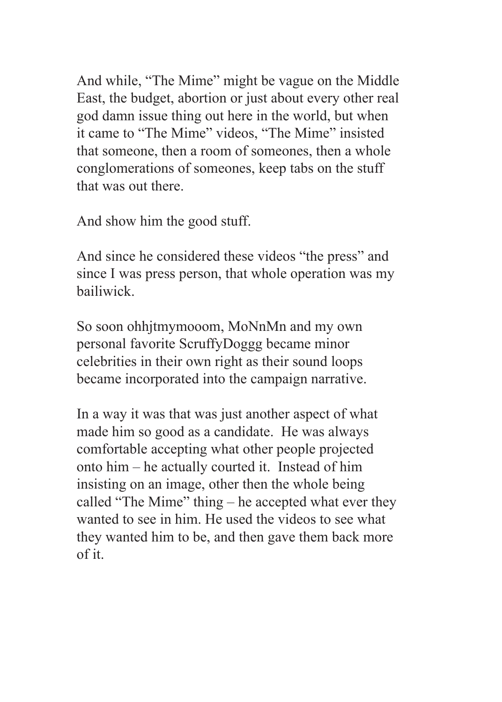And while, "The Mime" might be vague on the Middle East, the budget, abortion or just about every other real god damn issue thing out here in the world, but when it came to "The Mime" videos, "The Mime" insisted that someone, then a room of someones, then a whole conglomerations of someones, keep tabs on the stuff that was out there.

And show him the good stuff.

And since he considered these videos "the press" and since I was press person, that whole operation was my bailiwick.

So soon ohhjtmymooom, MoNnMn and my own personal favorite ScruffyDoggg became minor celebrities in their own right as their sound loops became incorporated into the campaign narrative.

In a way it was that was just another aspect of what made him so good as a candidate. He was always comfortable accepting what other people projected onto him – he actually courted it. Instead of him insisting on an image, other then the whole being called "The Mime" thing – he accepted what ever they wanted to see in him. He used the videos to see what they wanted him to be, and then gave them back more of it.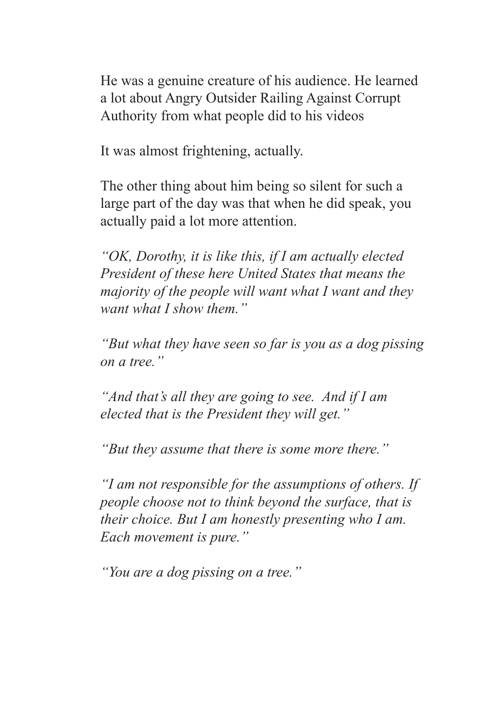He was a genuine creature of his audience. He learned a lot about Angry Outsider Railing Against Corrupt Authority from what people did to his videos

It was almost frightening, actually.

The other thing about him being so silent for such a large part of the day was that when he did speak, you actually paid a lot more attention.

*"OK, Dorothy, it is like this, if I am actually elected President of these here United States that means the majority of the people will want what I want and they want what I show them."*

*"But what they have seen so far is you as a dog pissing on a tree."*

*"And that's all they are going to see. And if I am elected that is the President they will get."*

*"But they assume that there is some more there."*

*"I am not responsible for the assumptions of others. If people choose not to think beyond the surface, that is their choice. But I am honestly presenting who I am. Each movement is pure."*

*"You are a dog pissing on a tree."*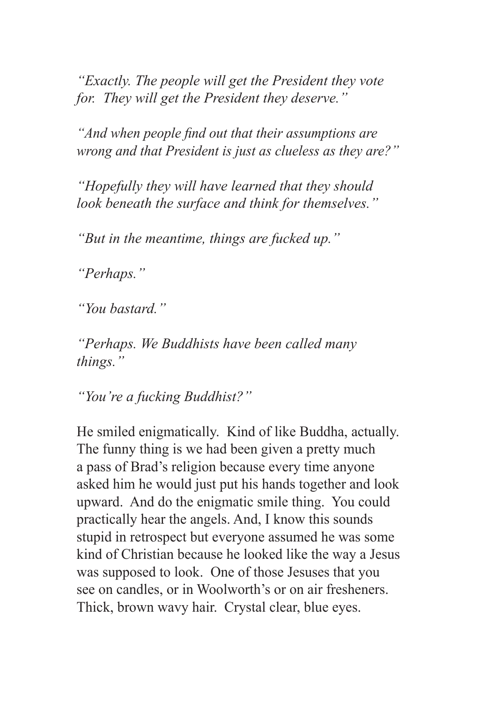*"Exactly. The people will get the President they vote for. They will get the President they deserve."*

*"And when people find out that their assumptions are wrong and that President is just as clueless as they are?"*

*"Hopefully they will have learned that they should look beneath the surface and think for themselves."*

*"But in the meantime, things are fucked up."*

*"Perhaps."*

*"You bastard."*

*"Perhaps. We Buddhists have been called many things."*

*"You're a fucking Buddhist?"*

He smiled enigmatically. Kind of like Buddha, actually. The funny thing is we had been given a pretty much a pass of Brad's religion because every time anyone asked him he would just put his hands together and look upward. And do the enigmatic smile thing. You could practically hear the angels. And, I know this sounds stupid in retrospect but everyone assumed he was some kind of Christian because he looked like the way a Jesus was supposed to look. One of those Jesuses that you see on candles, or in Woolworth's or on air fresheners. Thick, brown wavy hair. Crystal clear, blue eyes.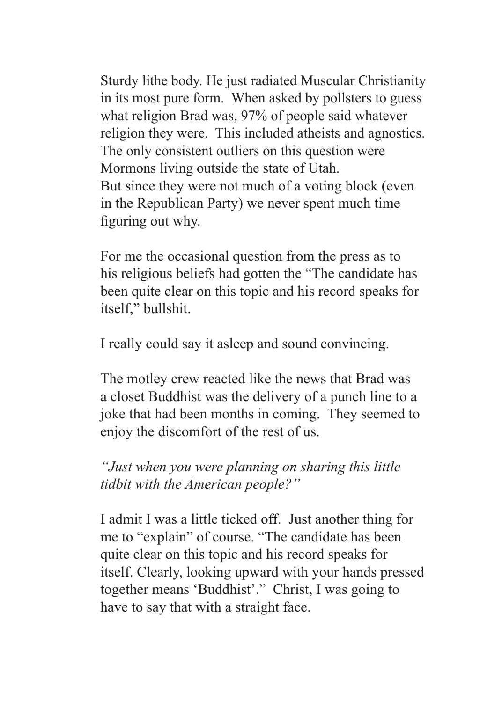Sturdy lithe body. He just radiated Muscular Christianity in its most pure form. When asked by pollsters to guess what religion Brad was, 97% of people said whatever religion they were. This included atheists and agnostics. The only consistent outliers on this question were Mormons living outside the state of Utah. But since they were not much of a voting block (even in the Republican Party) we never spent much time figuring out why.

For me the occasional question from the press as to his religious beliefs had gotten the "The candidate has been quite clear on this topic and his record speaks for itself," bullshit.

I really could say it asleep and sound convincing.

The motley crew reacted like the news that Brad was a closet Buddhist was the delivery of a punch line to a joke that had been months in coming. They seemed to enjoy the discomfort of the rest of us.

*"Just when you were planning on sharing this little tidbit with the American people?"*

I admit I was a little ticked off. Just another thing for me to "explain" of course. "The candidate has been quite clear on this topic and his record speaks for itself. Clearly, looking upward with your hands pressed together means 'Buddhist'." Christ, I was going to have to say that with a straight face.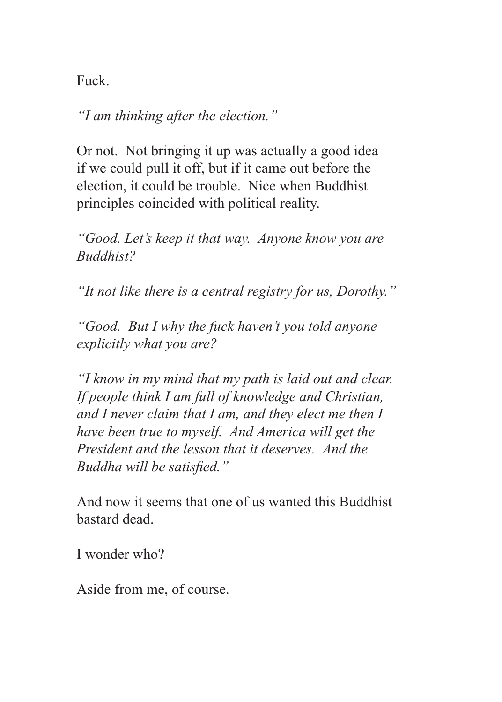Fuck.

*"I am thinking after the election."*

Or not. Not bringing it up was actually a good idea if we could pull it off, but if it came out before the election, it could be trouble. Nice when Buddhist principles coincided with political reality.

*"Good. Let's keep it that way. Anyone know you are Buddhist?*

*"It not like there is a central registry for us, Dorothy."*

*"Good. But I why the fuck haven't you told anyone explicitly what you are?*

*"I know in my mind that my path is laid out and clear. If people think I am full of knowledge and Christian, and I never claim that I am, and they elect me then I have been true to myself. And America will get the President and the lesson that it deserves. And the Buddha will be satisfied."*

And now it seems that one of us wanted this Buddhist bastard dead.

I wonder who?

Aside from me, of course.